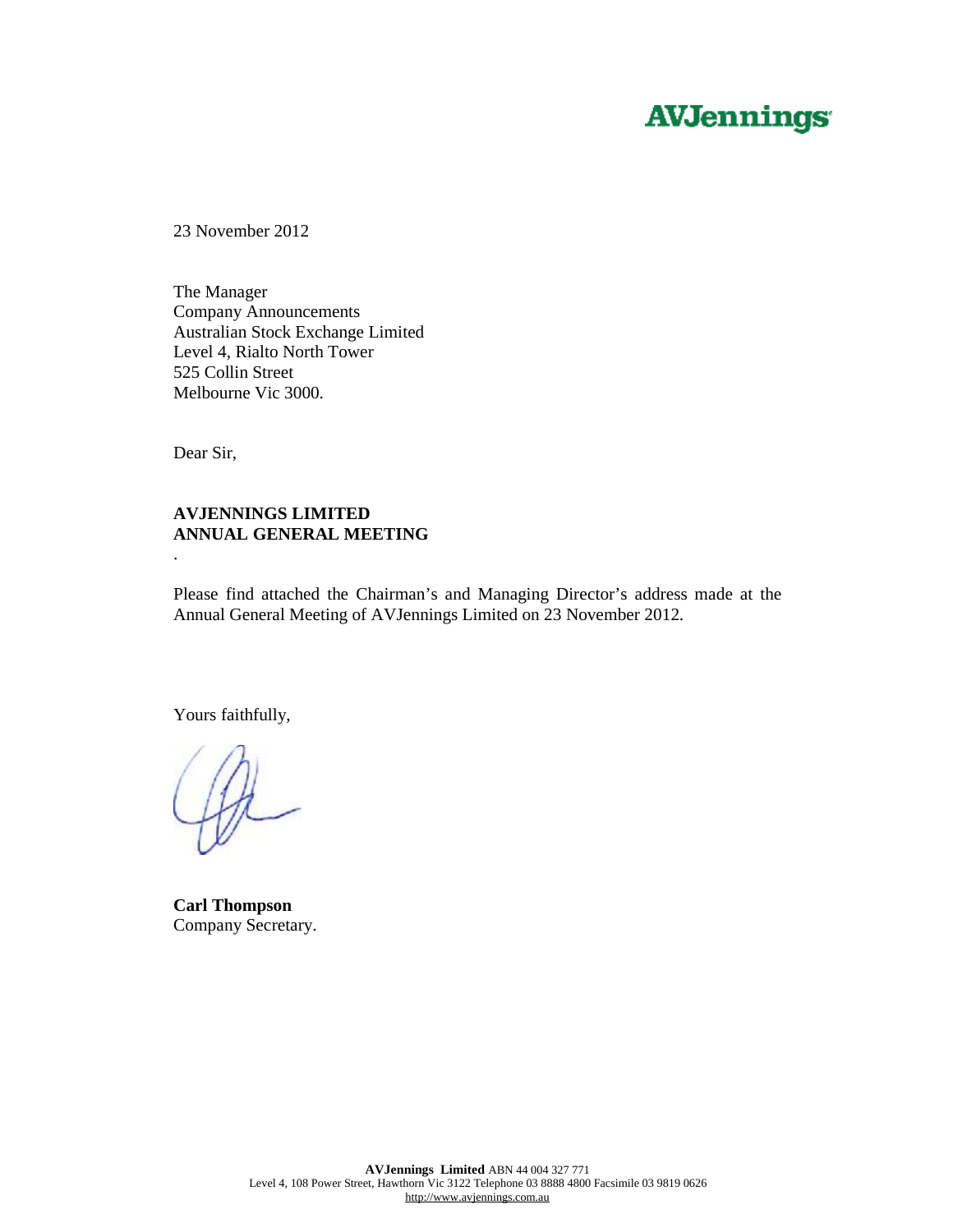# **AVJennings**

23 November 2012

The Manager Company Announcements Australian Stock Exchange Limited Level 4, Rialto North Tower 525 Collin Street Melbourne Vic 3000.

Dear Sir,

.

#### **AVJENNINGS LIMITED ANNUAL GENERAL MEETING**

Please find attached the Chairman's and Managing Director's address made at the Annual General Meeting of AVJennings Limited on 23 November 2012.

Yours faithfully,

**Carl Thompson**  Company Secretary.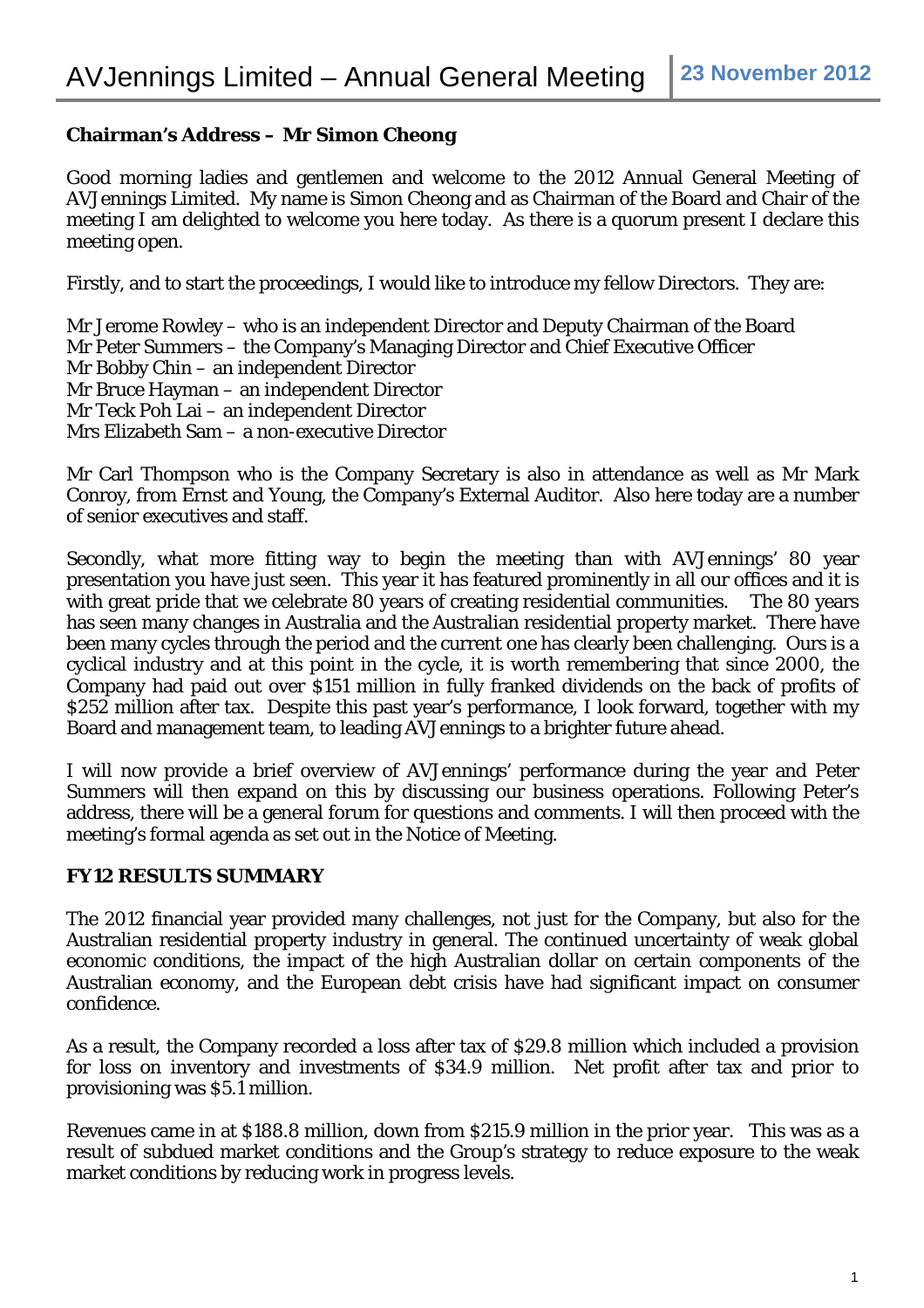## **Chairman's Address – Mr Simon Cheong**

Good morning ladies and gentlemen and welcome to the 2012 Annual General Meeting of AVJennings Limited. My name is Simon Cheong and as Chairman of the Board and Chair of the meeting I am delighted to welcome you here today. As there is a quorum present I declare this meeting open.

Firstly, and to start the proceedings, I would like to introduce my fellow Directors. They are:

Mr Jerome Rowley – who is an independent Director and Deputy Chairman of the Board Mr Peter Summers – the Company's Managing Director and Chief Executive Officer Mr Bobby Chin – an independent Director Mr Bruce Hayman – an independent Director Mr Teck Poh Lai – an independent Director Mrs Elizabeth Sam – a non-executive Director

Mr Carl Thompson who is the Company Secretary is also in attendance as well as Mr Mark Conroy, from Ernst and Young, the Company's External Auditor. Also here today are a number of senior executives and staff.

Secondly, what more fitting way to begin the meeting than with AVJennings' 80 year presentation you have just seen. This year it has featured prominently in all our offices and it is with great pride that we celebrate 80 years of creating residential communities. The 80 years has seen many changes in Australia and the Australian residential property market. There have been many cycles through the period and the current one has clearly been challenging. Ours is a cyclical industry and at this point in the cycle, it is worth remembering that since 2000, the Company had paid out over \$151 million in fully franked dividends on the back of profits of \$252 million after tax. Despite this past year's performance, I look forward, together with my Board and management team, to leading AVJennings to a brighter future ahead.

I will now provide a brief overview of AVJennings' performance during the year and Peter Summers will then expand on this by discussing our business operations. Following Peter's address, there will be a general forum for questions and comments. I will then proceed with the meeting's formal agenda as set out in the Notice of Meeting.

### **FY12 RESULTS SUMMARY**

The 2012 financial year provided many challenges, not just for the Company, but also for the Australian residential property industry in general. The continued uncertainty of weak global economic conditions, the impact of the high Australian dollar on certain components of the Australian economy, and the European debt crisis have had significant impact on consumer confidence.

As a result, the Company recorded a loss after tax of \$29.8 million which included a provision for loss on inventory and investments of \$34.9 million. Net profit after tax and prior to provisioning was \$5.1 million.

Revenues came in at \$188.8 million, down from \$215.9 million in the prior year. This was as a result of subdued market conditions and the Group's strategy to reduce exposure to the weak market conditions by reducing work in progress levels.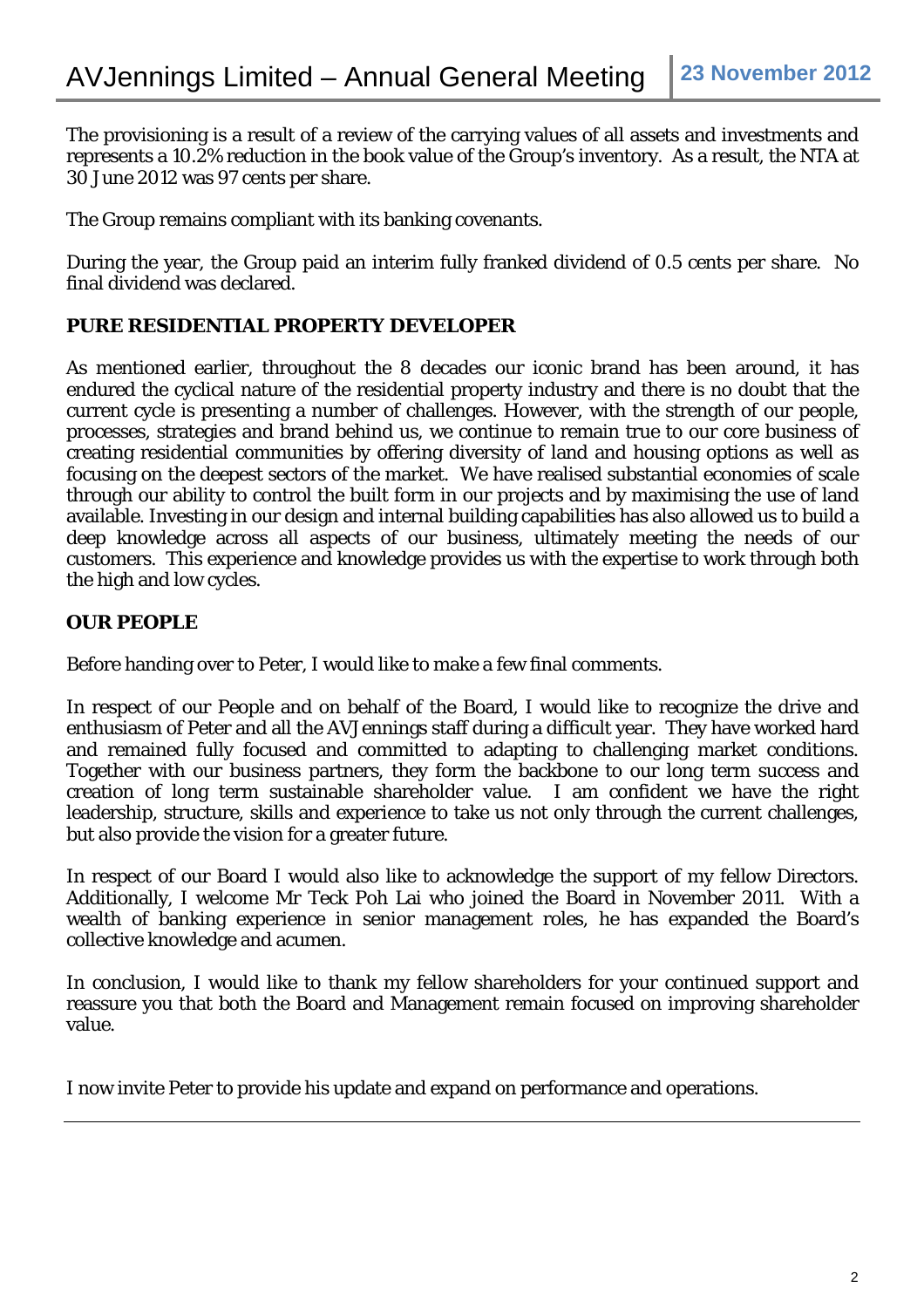The provisioning is a result of a review of the carrying values of all assets and investments and represents a 10.2% reduction in the book value of the Group's inventory. As a result, the NTA at 30 June 2012 was 97 cents per share.

The Group remains compliant with its banking covenants.

During the year, the Group paid an interim fully franked dividend of 0.5 cents per share. No final dividend was declared.

# **PURE RESIDENTIAL PROPERTY DEVELOPER**

As mentioned earlier, throughout the 8 decades our iconic brand has been around, it has endured the cyclical nature of the residential property industry and there is no doubt that the current cycle is presenting a number of challenges. However, with the strength of our people, processes, strategies and brand behind us, we continue to remain true to our core business of creating residential communities by offering diversity of land and housing options as well as focusing on the deepest sectors of the market. We have realised substantial economies of scale through our ability to control the built form in our projects and by maximising the use of land available. Investing in our design and internal building capabilities has also allowed us to build a deep knowledge across all aspects of our business, ultimately meeting the needs of our customers. This experience and knowledge provides us with the expertise to work through both the high and low cycles.

# **OUR PEOPLE**

Before handing over to Peter, I would like to make a few final comments.

In respect of our People and on behalf of the Board, I would like to recognize the drive and enthusiasm of Peter and all the AVJennings staff during a difficult year. They have worked hard and remained fully focused and committed to adapting to challenging market conditions. Together with our business partners, they form the backbone to our long term success and creation of long term sustainable shareholder value. I am confident we have the right leadership, structure, skills and experience to take us not only through the current challenges, but also provide the vision for a greater future.

In respect of our Board I would also like to acknowledge the support of my fellow Directors. Additionally, I welcome Mr Teck Poh Lai who joined the Board in November 2011. With a wealth of banking experience in senior management roles, he has expanded the Board's collective knowledge and acumen.

In conclusion, I would like to thank my fellow shareholders for your continued support and reassure you that both the Board and Management remain focused on improving shareholder value.

I now invite Peter to provide his update and expand on performance and operations.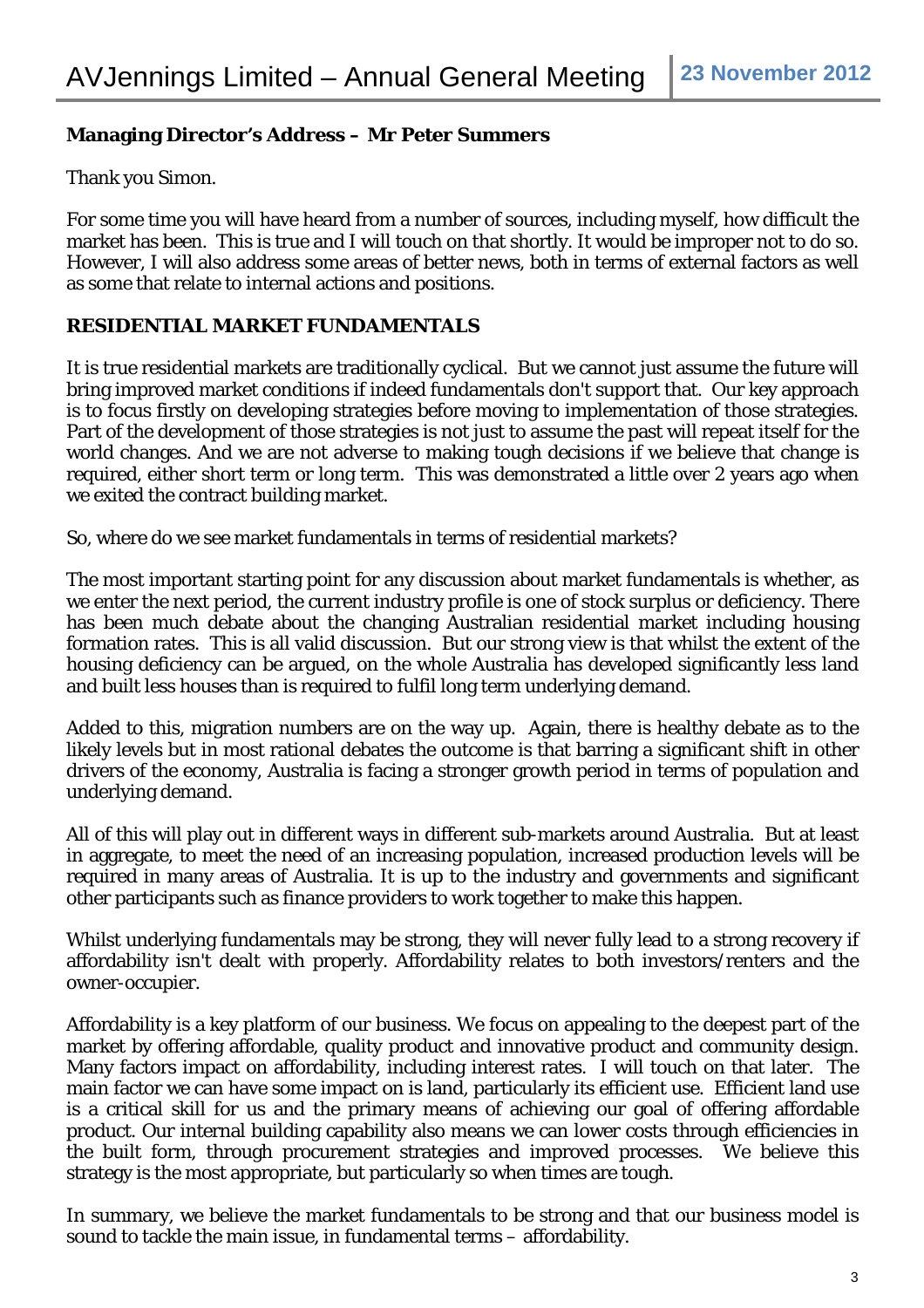# **Managing Director's Address – Mr Peter Summers**

Thank you Simon.

For some time you will have heard from a number of sources, including myself, how difficult the market has been. This is true and I will touch on that shortly. It would be improper not to do so. However, I will also address some areas of better news, both in terms of external factors as well as some that relate to internal actions and positions.

## **RESIDENTIAL MARKET FUNDAMENTALS**

It is true residential markets are traditionally cyclical. But we cannot just assume the future will bring improved market conditions if indeed fundamentals don't support that. Our key approach is to focus firstly on developing strategies before moving to implementation of those strategies. Part of the development of those strategies is not just to assume the past will repeat itself for the world changes. And we are not adverse to making tough decisions if we believe that change is required, either short term or long term. This was demonstrated a little over 2 years ago when we exited the contract building market.

So, where do we see market fundamentals in terms of residential markets?

The most important starting point for any discussion about market fundamentals is whether, as we enter the next period, the current industry profile is one of stock surplus or deficiency. There has been much debate about the changing Australian residential market including housing formation rates. This is all valid discussion. But our strong view is that whilst the extent of the housing deficiency can be argued, on the whole Australia has developed significantly less land and built less houses than is required to fulfil long term underlying demand.

Added to this, migration numbers are on the way up. Again, there is healthy debate as to the likely levels but in most rational debates the outcome is that barring a significant shift in other drivers of the economy, Australia is facing a stronger growth period in terms of population and underlying demand.

All of this will play out in different ways in different sub-markets around Australia. But at least in aggregate, to meet the need of an increasing population, increased production levels will be required in many areas of Australia. It is up to the industry and governments and significant other participants such as finance providers to work together to make this happen.

Whilst underlying fundamentals may be strong, they will never fully lead to a strong recovery if affordability isn't dealt with properly. Affordability relates to both investors/renters and the owner-occupier.

Affordability is a key platform of our business. We focus on appealing to the deepest part of the market by offering affordable, quality product and innovative product and community design. Many factors impact on affordability, including interest rates. I will touch on that later. The main factor we can have some impact on is land, particularly its efficient use. Efficient land use is a critical skill for us and the primary means of achieving our goal of offering affordable product. Our internal building capability also means we can lower costs through efficiencies in the built form, through procurement strategies and improved processes. We believe this strategy is the most appropriate, but particularly so when times are tough.

In summary, we believe the market fundamentals to be strong and that our business model is sound to tackle the main issue, in fundamental terms – affordability.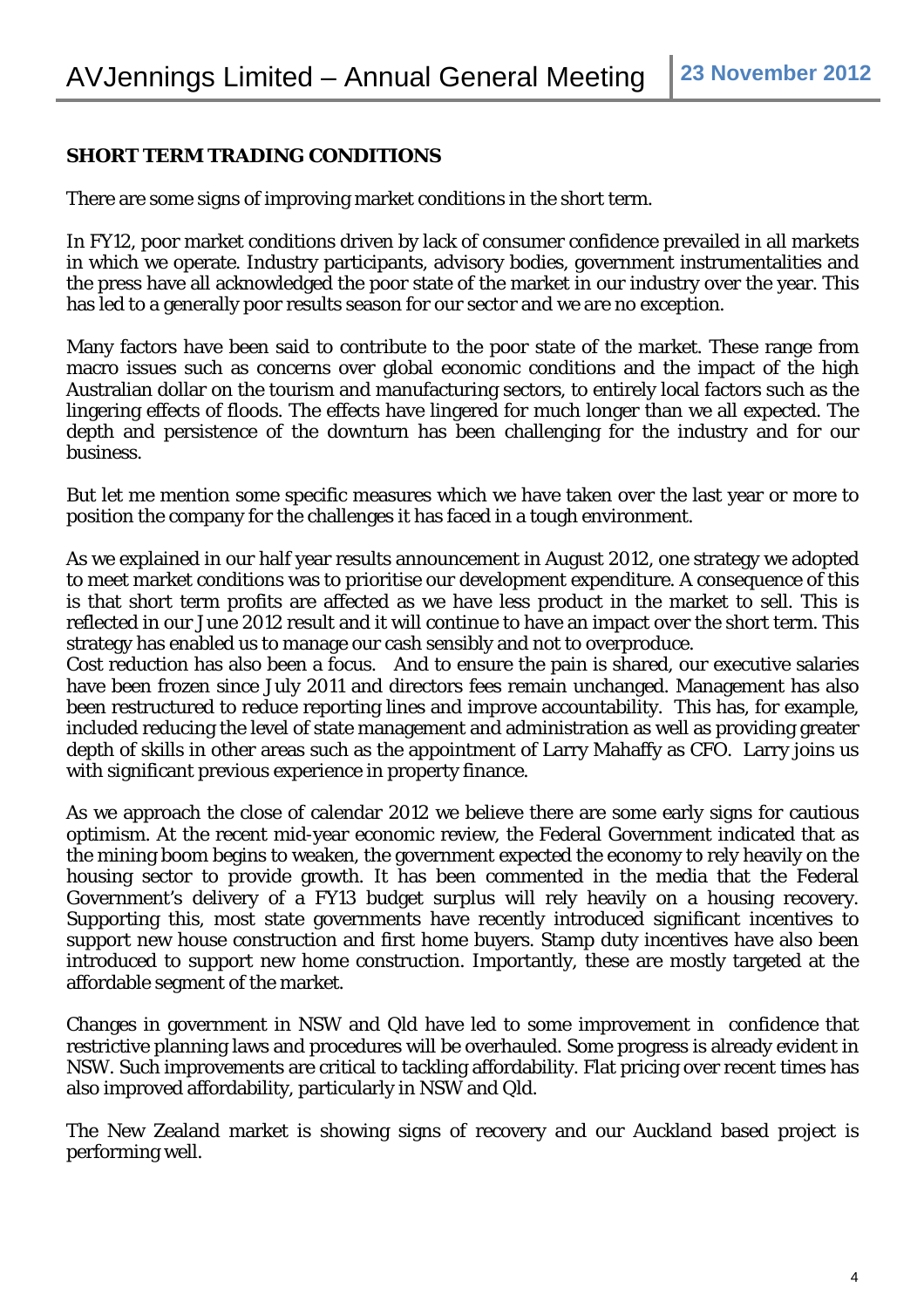## **SHORT TERM TRADING CONDITIONS**

There are some signs of improving market conditions in the short term.

In FY12, poor market conditions driven by lack of consumer confidence prevailed in all markets in which we operate. Industry participants, advisory bodies, government instrumentalities and the press have all acknowledged the poor state of the market in our industry over the year. This has led to a generally poor results season for our sector and we are no exception.

Many factors have been said to contribute to the poor state of the market. These range from macro issues such as concerns over global economic conditions and the impact of the high Australian dollar on the tourism and manufacturing sectors, to entirely local factors such as the lingering effects of floods. The effects have lingered for much longer than we all expected. The depth and persistence of the downturn has been challenging for the industry and for our business.

But let me mention some specific measures which we have taken over the last year or more to position the company for the challenges it has faced in a tough environment.

As we explained in our half year results announcement in August 2012, one strategy we adopted to meet market conditions was to prioritise our development expenditure. A consequence of this is that short term profits are affected as we have less product in the market to sell. This is reflected in our June 2012 result and it will continue to have an impact over the short term. This strategy has enabled us to manage our cash sensibly and not to overproduce.

Cost reduction has also been a focus. And to ensure the pain is shared, our executive salaries have been frozen since July 2011 and directors fees remain unchanged. Management has also been restructured to reduce reporting lines and improve accountability. This has, for example, included reducing the level of state management and administration as well as providing greater depth of skills in other areas such as the appointment of Larry Mahaffy as CFO. Larry joins us with significant previous experience in property finance.

As we approach the close of calendar 2012 we believe there are some early signs for cautious optimism. At the recent mid-year economic review, the Federal Government indicated that as the mining boom begins to weaken, the government expected the economy to rely heavily on the housing sector to provide growth. It has been commented in the media that the Federal Government's delivery of a FY13 budget surplus will rely heavily on a housing recovery. Supporting this, most state governments have recently introduced significant incentives to support new house construction and first home buyers. Stamp duty incentives have also been introduced to support new home construction. Importantly, these are mostly targeted at the affordable segment of the market.

Changes in government in NSW and Qld have led to some improvement in confidence that restrictive planning laws and procedures will be overhauled. Some progress is already evident in NSW. Such improvements are critical to tackling affordability. Flat pricing over recent times has also improved affordability, particularly in NSW and Qld.

The New Zealand market is showing signs of recovery and our Auckland based project is performing well.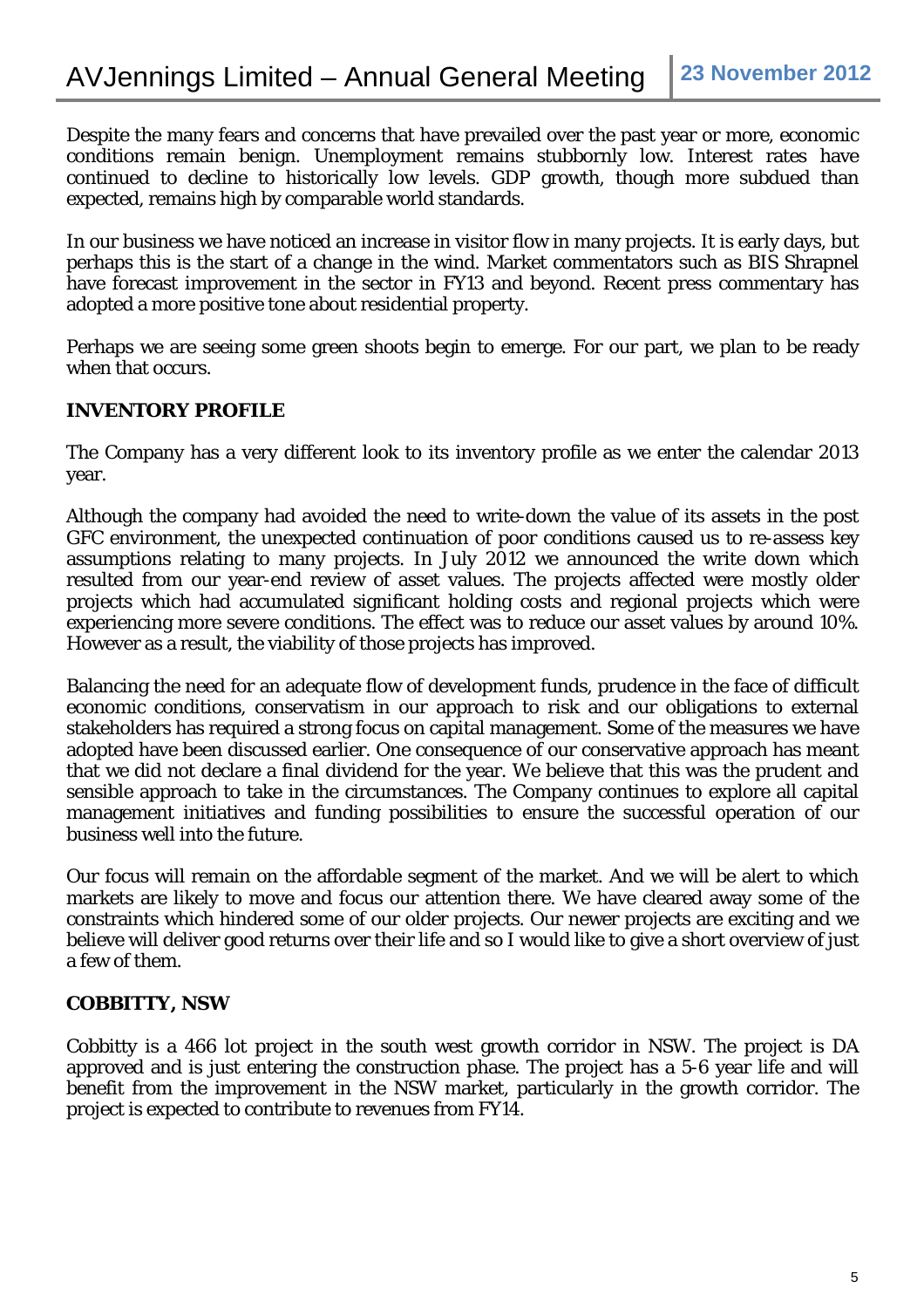Despite the many fears and concerns that have prevailed over the past year or more, economic conditions remain benign. Unemployment remains stubbornly low. Interest rates have continued to decline to historically low levels. GDP growth, though more subdued than expected, remains high by comparable world standards.

In our business we have noticed an increase in visitor flow in many projects. It is early days, but perhaps this is the start of a change in the wind. Market commentators such as BIS Shrapnel have forecast improvement in the sector in FY13 and beyond. Recent press commentary has adopted a more positive tone about residential property.

Perhaps we are seeing some green shoots begin to emerge. For our part, we plan to be ready when that occurs.

## **INVENTORY PROFILE**

The Company has a very different look to its inventory profile as we enter the calendar 2013 year.

Although the company had avoided the need to write-down the value of its assets in the post GFC environment, the unexpected continuation of poor conditions caused us to re-assess key assumptions relating to many projects. In July 2012 we announced the write down which resulted from our year-end review of asset values. The projects affected were mostly older projects which had accumulated significant holding costs and regional projects which were experiencing more severe conditions. The effect was to reduce our asset values by around 10%. However as a result, the viability of those projects has improved.

Balancing the need for an adequate flow of development funds, prudence in the face of difficult economic conditions, conservatism in our approach to risk and our obligations to external stakeholders has required a strong focus on capital management. Some of the measures we have adopted have been discussed earlier. One consequence of our conservative approach has meant that we did not declare a final dividend for the year. We believe that this was the prudent and sensible approach to take in the circumstances. The Company continues to explore all capital management initiatives and funding possibilities to ensure the successful operation of our business well into the future.

Our focus will remain on the affordable segment of the market. And we will be alert to which markets are likely to move and focus our attention there. We have cleared away some of the constraints which hindered some of our older projects. Our newer projects are exciting and we believe will deliver good returns over their life and so I would like to give a short overview of just a few of them.

# **COBBITTY, NSW**

Cobbitty is a 466 lot project in the south west growth corridor in NSW. The project is DA approved and is just entering the construction phase. The project has a 5-6 year life and will benefit from the improvement in the NSW market, particularly in the growth corridor. The project is expected to contribute to revenues from FY14.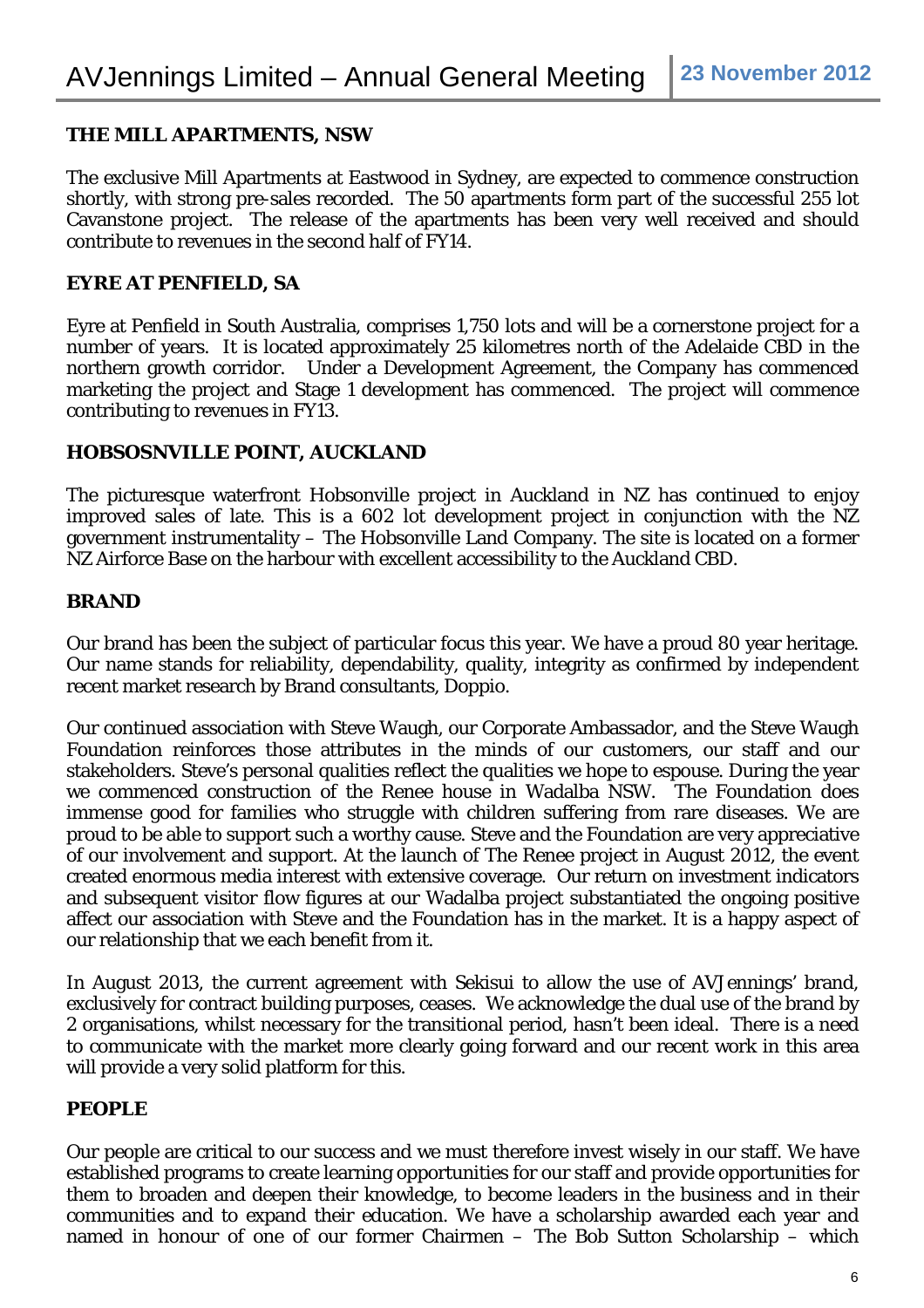## **THE MILL APARTMENTS, NSW**

The exclusive Mill Apartments at Eastwood in Sydney, are expected to commence construction shortly, with strong pre-sales recorded. The 50 apartments form part of the successful 255 lot Cavanstone project. The release of the apartments has been very well received and should contribute to revenues in the second half of FY14.

#### **EYRE AT PENFIELD, SA**

Eyre at Penfield in South Australia, comprises 1,750 lots and will be a cornerstone project for a number of years. It is located approximately 25 kilometres north of the Adelaide CBD in the northern growth corridor. Under a Development Agreement, the Company has commenced marketing the project and Stage 1 development has commenced. The project will commence contributing to revenues in FY13.

#### **HOBSOSNVILLE POINT, AUCKLAND**

The picturesque waterfront Hobsonville project in Auckland in NZ has continued to enjoy improved sales of late. This is a 602 lot development project in conjunction with the NZ government instrumentality – The Hobsonville Land Company. The site is located on a former NZ Airforce Base on the harbour with excellent accessibility to the Auckland CBD.

#### **BRAND**

Our brand has been the subject of particular focus this year. We have a proud 80 year heritage. Our name stands for reliability, dependability, quality, integrity as confirmed by independent recent market research by Brand consultants, Doppio.

Our continued association with Steve Waugh, our Corporate Ambassador, and the Steve Waugh Foundation reinforces those attributes in the minds of our customers, our staff and our stakeholders. Steve's personal qualities reflect the qualities we hope to espouse. During the year we commenced construction of the Renee house in Wadalba NSW. The Foundation does immense good for families who struggle with children suffering from rare diseases. We are proud to be able to support such a worthy cause. Steve and the Foundation are very appreciative of our involvement and support. At the launch of The Renee project in August 2012, the event created enormous media interest with extensive coverage. Our return on investment indicators and subsequent visitor flow figures at our Wadalba project substantiated the ongoing positive affect our association with Steve and the Foundation has in the market. It is a happy aspect of our relationship that we each benefit from it.

In August 2013, the current agreement with Sekisui to allow the use of AVJennings' brand, exclusively for contract building purposes, ceases. We acknowledge the dual use of the brand by 2 organisations, whilst necessary for the transitional period, hasn't been ideal. There is a need to communicate with the market more clearly going forward and our recent work in this area will provide a very solid platform for this.

### **PEOPLE**

Our people are critical to our success and we must therefore invest wisely in our staff. We have established programs to create learning opportunities for our staff and provide opportunities for them to broaden and deepen their knowledge, to become leaders in the business and in their communities and to expand their education. We have a scholarship awarded each year and named in honour of one of our former Chairmen – The Bob Sutton Scholarship – which